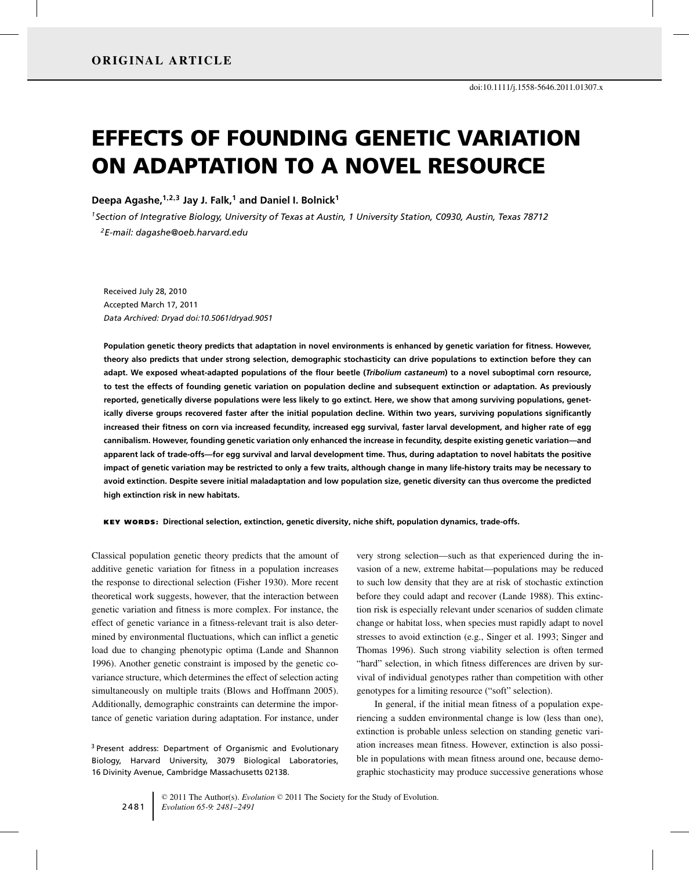# EFFECTS OF FOUNDING GENETIC VARIATION ON ADAPTATION TO A NOVEL RESOURCE

## **Deepa Agashe,1,2,<sup>3</sup> Jay J. Falk,<sup>1</sup> and Daniel I. Bolnick1**

*1Section of Integrative Biology, University of Texas at Austin, 1 University Station, C0930, Austin, Texas 78712 2E-mail: dagashe@oeb.harvard.edu*

Received July 28, 2010 Accepted March 17, 2011 *Data Archived: Dryad doi:10.5061/dryad.9051*

**Population genetic theory predicts that adaptation in novel environments is enhanced by genetic variation for fitness. However, theory also predicts that under strong selection, demographic stochasticity can drive populations to extinction before they can adapt. We exposed wheat-adapted populations of the flour beetle (***Tribolium castaneum***) to a novel suboptimal corn resource, to test the effects of founding genetic variation on population decline and subsequent extinction or adaptation. As previously reported, genetically diverse populations were less likely to go extinct. Here, we show that among surviving populations, genetically diverse groups recovered faster after the initial population decline. Within two years, surviving populations significantly increased their fitness on corn via increased fecundity, increased egg survival, faster larval development, and higher rate of egg cannibalism. However, founding genetic variation only enhanced the increase in fecundity, despite existing genetic variation—and apparent lack of trade-offs—for egg survival and larval development time. Thus, during adaptation to novel habitats the positive impact of genetic variation may be restricted to only a few traits, although change in many life-history traits may be necessary to avoid extinction. Despite severe initial maladaptation and low population size, genetic diversity can thus overcome the predicted high extinction risk in new habitats.**

#### KEY WORDS: **Directional selection, extinction, genetic diversity, niche shift, population dynamics, trade-offs.**

Classical population genetic theory predicts that the amount of additive genetic variation for fitness in a population increases the response to directional selection (Fisher 1930). More recent theoretical work suggests, however, that the interaction between genetic variation and fitness is more complex. For instance, the effect of genetic variance in a fitness-relevant trait is also determined by environmental fluctuations, which can inflict a genetic load due to changing phenotypic optima (Lande and Shannon 1996). Another genetic constraint is imposed by the genetic covariance structure, which determines the effect of selection acting simultaneously on multiple traits (Blows and Hoffmann 2005). Additionally, demographic constraints can determine the importance of genetic variation during adaptation. For instance, under

<sup>3</sup> Present address: Department of Organismic and Evolutionary Biology, Harvard University, 3079 Biological Laboratories, 16 Divinity Avenue, Cambridge Massachusetts 02138.

very strong selection—such as that experienced during the invasion of a new, extreme habitat—populations may be reduced to such low density that they are at risk of stochastic extinction before they could adapt and recover (Lande 1988). This extinction risk is especially relevant under scenarios of sudden climate change or habitat loss, when species must rapidly adapt to novel stresses to avoid extinction (e.g., Singer et al. 1993; Singer and Thomas 1996). Such strong viability selection is often termed "hard" selection, in which fitness differences are driven by survival of individual genotypes rather than competition with other genotypes for a limiting resource ("soft" selection).

In general, if the initial mean fitness of a population experiencing a sudden environmental change is low (less than one), extinction is probable unless selection on standing genetic variation increases mean fitness. However, extinction is also possible in populations with mean fitness around one, because demographic stochasticity may produce successive generations whose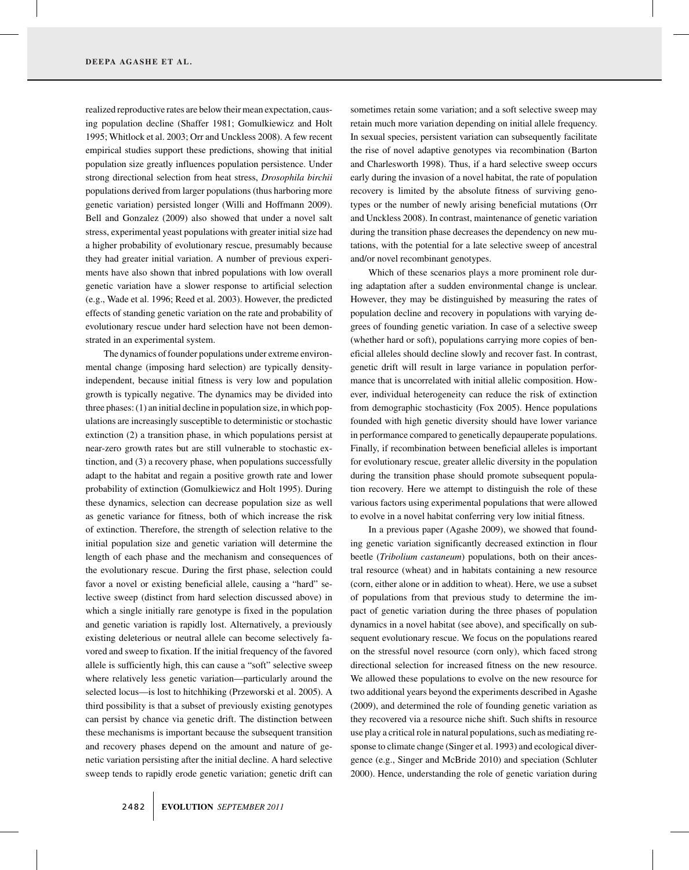realized reproductive rates are below their mean expectation, causing population decline (Shaffer 1981; Gomulkiewicz and Holt 1995; Whitlock et al. 2003; Orr and Unckless 2008). A few recent empirical studies support these predictions, showing that initial population size greatly influences population persistence. Under strong directional selection from heat stress, *Drosophila birchii* populations derived from larger populations (thus harboring more genetic variation) persisted longer (Willi and Hoffmann 2009). Bell and Gonzalez (2009) also showed that under a novel salt stress, experimental yeast populations with greater initial size had a higher probability of evolutionary rescue, presumably because they had greater initial variation. A number of previous experiments have also shown that inbred populations with low overall genetic variation have a slower response to artificial selection (e.g., Wade et al. 1996; Reed et al. 2003). However, the predicted effects of standing genetic variation on the rate and probability of evolutionary rescue under hard selection have not been demonstrated in an experimental system.

The dynamics of founder populations under extreme environmental change (imposing hard selection) are typically densityindependent, because initial fitness is very low and population growth is typically negative. The dynamics may be divided into three phases: (1) an initial decline in population size, in which populations are increasingly susceptible to deterministic or stochastic extinction (2) a transition phase, in which populations persist at near-zero growth rates but are still vulnerable to stochastic extinction, and (3) a recovery phase, when populations successfully adapt to the habitat and regain a positive growth rate and lower probability of extinction (Gomulkiewicz and Holt 1995). During these dynamics, selection can decrease population size as well as genetic variance for fitness, both of which increase the risk of extinction. Therefore, the strength of selection relative to the initial population size and genetic variation will determine the length of each phase and the mechanism and consequences of the evolutionary rescue. During the first phase, selection could favor a novel or existing beneficial allele, causing a "hard" selective sweep (distinct from hard selection discussed above) in which a single initially rare genotype is fixed in the population and genetic variation is rapidly lost. Alternatively, a previously existing deleterious or neutral allele can become selectively favored and sweep to fixation. If the initial frequency of the favored allele is sufficiently high, this can cause a "soft" selective sweep where relatively less genetic variation—particularly around the selected locus—is lost to hitchhiking (Przeworski et al. 2005). A third possibility is that a subset of previously existing genotypes can persist by chance via genetic drift. The distinction between these mechanisms is important because the subsequent transition and recovery phases depend on the amount and nature of genetic variation persisting after the initial decline. A hard selective sweep tends to rapidly erode genetic variation; genetic drift can sometimes retain some variation; and a soft selective sweep may retain much more variation depending on initial allele frequency. In sexual species, persistent variation can subsequently facilitate the rise of novel adaptive genotypes via recombination (Barton and Charlesworth 1998). Thus, if a hard selective sweep occurs early during the invasion of a novel habitat, the rate of population recovery is limited by the absolute fitness of surviving genotypes or the number of newly arising beneficial mutations (Orr and Unckless 2008). In contrast, maintenance of genetic variation during the transition phase decreases the dependency on new mutations, with the potential for a late selective sweep of ancestral and/or novel recombinant genotypes.

Which of these scenarios plays a more prominent role during adaptation after a sudden environmental change is unclear. However, they may be distinguished by measuring the rates of population decline and recovery in populations with varying degrees of founding genetic variation. In case of a selective sweep (whether hard or soft), populations carrying more copies of beneficial alleles should decline slowly and recover fast. In contrast, genetic drift will result in large variance in population performance that is uncorrelated with initial allelic composition. However, individual heterogeneity can reduce the risk of extinction from demographic stochasticity (Fox 2005). Hence populations founded with high genetic diversity should have lower variance in performance compared to genetically depauperate populations. Finally, if recombination between beneficial alleles is important for evolutionary rescue, greater allelic diversity in the population during the transition phase should promote subsequent population recovery. Here we attempt to distinguish the role of these various factors using experimental populations that were allowed to evolve in a novel habitat conferring very low initial fitness.

In a previous paper (Agashe 2009), we showed that founding genetic variation significantly decreased extinction in flour beetle (*Tribolium castaneum*) populations, both on their ancestral resource (wheat) and in habitats containing a new resource (corn, either alone or in addition to wheat). Here, we use a subset of populations from that previous study to determine the impact of genetic variation during the three phases of population dynamics in a novel habitat (see above), and specifically on subsequent evolutionary rescue. We focus on the populations reared on the stressful novel resource (corn only), which faced strong directional selection for increased fitness on the new resource. We allowed these populations to evolve on the new resource for two additional years beyond the experiments described in Agashe (2009), and determined the role of founding genetic variation as they recovered via a resource niche shift. Such shifts in resource use play a critical role in natural populations, such as mediating response to climate change (Singer et al. 1993) and ecological divergence (e.g., Singer and McBride 2010) and speciation (Schluter 2000). Hence, understanding the role of genetic variation during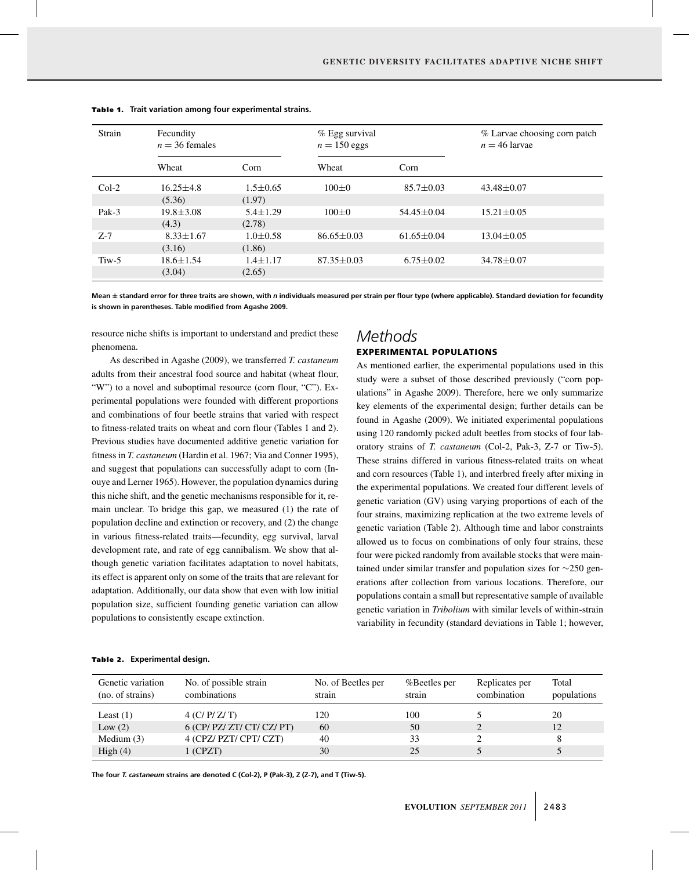| Strain            | Fecundity<br>$n = 36$ females |                | % Egg survival<br>$n = 150$ eggs |                  | % Larvae choosing corn patch<br>$n = 46$ larvae |  |
|-------------------|-------------------------------|----------------|----------------------------------|------------------|-------------------------------------------------|--|
|                   | Wheat                         | Corn           | Wheat                            | Corn             |                                                 |  |
| $Col-2$           | $16.25 \pm 4.8$               | $1.5 \pm 0.65$ | $100 \pm 0$                      | $85.7 \pm 0.03$  | $43.48 \pm 0.07$                                |  |
|                   | (5.36)                        | (1.97)         |                                  |                  |                                                 |  |
| Pak-3             | $19.8 \pm 3.08$               | $5.4 \pm 1.29$ | $100 \pm 0$                      | $54.45 \pm 0.04$ | $15.21 \pm 0.05$                                |  |
|                   | (4.3)                         | (2.78)         |                                  |                  |                                                 |  |
| $Z - 7$           | $8.33 \pm 1.67$               | $1.0 \pm 0.58$ | $86.65 \pm 0.03$                 | $61.65 \pm 0.04$ | $13.04 \pm 0.05$                                |  |
|                   | (3.16)                        | (1.86)         |                                  |                  |                                                 |  |
| $T_{\text{iw-5}}$ | $18.6 \pm 1.54$               | $1.4 \pm 1.17$ | $87.35 \pm 0.03$                 | $6.75 \pm 0.02$  | $34.78 \pm 0.07$                                |  |
|                   | (3.04)                        | (2.65)         |                                  |                  |                                                 |  |

#### Table 1. Trait variation among four experimental strains.

**Mean ± standard error for three traits are shown, with** *n* **individuals measured per strain per flour type (where applicable). Standard deviation for fecundity is shown in parentheses. Table modified from Agashe 2009.**

resource niche shifts is important to understand and predict these phenomena.

As described in Agashe (2009), we transferred *T. castaneum* adults from their ancestral food source and habitat (wheat flour, "W") to a novel and suboptimal resource (corn flour, "C"). Experimental populations were founded with different proportions and combinations of four beetle strains that varied with respect to fitness-related traits on wheat and corn flour (Tables 1 and 2). Previous studies have documented additive genetic variation for fitness in *T. castaneum* (Hardin et al. 1967; Via and Conner 1995), and suggest that populations can successfully adapt to corn (Inouye and Lerner 1965). However, the population dynamics during this niche shift, and the genetic mechanisms responsible for it, remain unclear. To bridge this gap, we measured (1) the rate of population decline and extinction or recovery, and (2) the change in various fitness-related traits—fecundity, egg survival, larval development rate, and rate of egg cannibalism. We show that although genetic variation facilitates adaptation to novel habitats, its effect is apparent only on some of the traits that are relevant for adaptation. Additionally, our data show that even with low initial population size, sufficient founding genetic variation can allow populations to consistently escape extinction.

# *Methods*

### EXPERIMENTAL POPULATIONS

As mentioned earlier, the experimental populations used in this study were a subset of those described previously ("corn populations" in Agashe 2009). Therefore, here we only summarize key elements of the experimental design; further details can be found in Agashe (2009). We initiated experimental populations using 120 randomly picked adult beetles from stocks of four laboratory strains of *T. castaneum* (Col-2, Pak-3, Z-7 or Tiw-5). These strains differed in various fitness-related traits on wheat and corn resources (Table 1), and interbred freely after mixing in the experimental populations. We created four different levels of genetic variation (GV) using varying proportions of each of the four strains, maximizing replication at the two extreme levels of genetic variation (Table 2). Although time and labor constraints allowed us to focus on combinations of only four strains, these four were picked randomly from available stocks that were maintained under similar transfer and population sizes for ∼250 generations after collection from various locations. Therefore, our populations contain a small but representative sample of available genetic variation in *Tribolium* with similar levels of within-strain variability in fecundity (standard deviations in Table 1; however,

#### Table 2. Experimental design.

| Genetic variation<br>(no. of strains) | No. of possible strain<br>combinations | No. of Beetles per<br>strain | %Beetles per<br>strain | Replicates per<br>combination | Total<br>populations |
|---------------------------------------|----------------------------------------|------------------------------|------------------------|-------------------------------|----------------------|
| Least $(1)$                           | $4$ (C/P/Z/T)                          | 120                          | 100                    |                               | 20                   |
| Low $(2)$                             | 6 (CP/ PZ/ ZT/ CT/ CZ/ PT)             | 60                           | 50                     |                               | 12                   |
| Medium $(3)$                          | 4 (CPZ/ PZT/ CPT/ CZT)                 | 40                           | 33                     |                               |                      |
| High $(4)$                            | $1$ (CPZT)                             | 30                           | 25                     |                               |                      |

**The four** *T. castaneum* **strains are denoted C (Col-2), P (Pak-3), Z (Z-7), and T (Tiw-5).**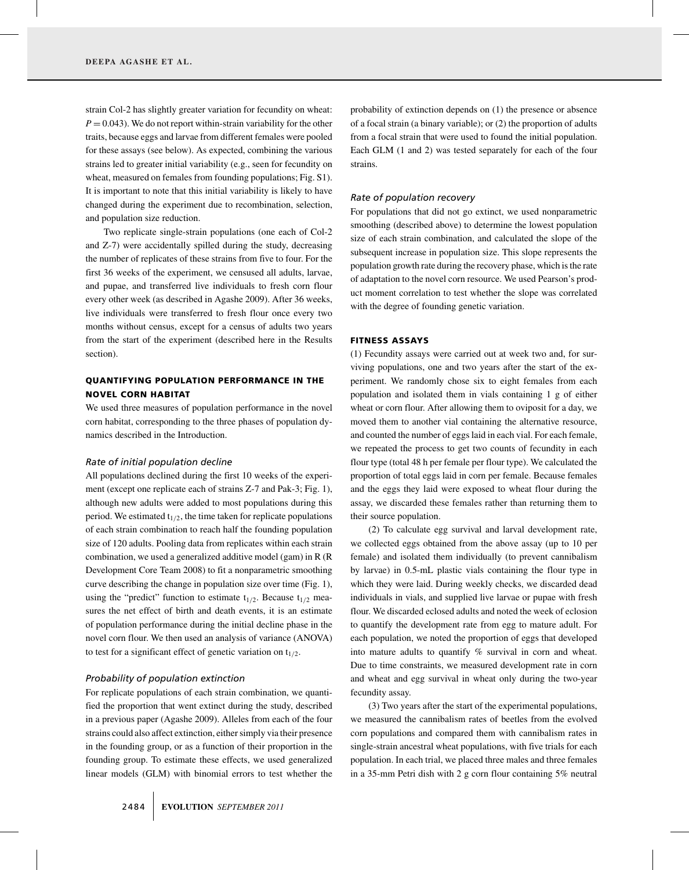strain Col-2 has slightly greater variation for fecundity on wheat:  $P = 0.043$ . We do not report within-strain variability for the other traits, because eggs and larvae from different females were pooled for these assays (see below). As expected, combining the various strains led to greater initial variability (e.g., seen for fecundity on wheat, measured on females from founding populations; Fig. S1). It is important to note that this initial variability is likely to have changed during the experiment due to recombination, selection, and population size reduction.

Two replicate single-strain populations (one each of Col-2 and Z-7) were accidentally spilled during the study, decreasing the number of replicates of these strains from five to four. For the first 36 weeks of the experiment, we censused all adults, larvae, and pupae, and transferred live individuals to fresh corn flour every other week (as described in Agashe 2009). After 36 weeks, live individuals were transferred to fresh flour once every two months without census, except for a census of adults two years from the start of the experiment (described here in the Results section).

## QUANTIFYING POPULATION PERFORMANCE IN THE NOVEL CORN HABITAT

We used three measures of population performance in the novel corn habitat, corresponding to the three phases of population dynamics described in the Introduction.

#### *Rate of initial population decline*

All populations declined during the first 10 weeks of the experiment (except one replicate each of strains Z-7 and Pak-3; Fig. 1), although new adults were added to most populations during this period. We estimated  $t_{1/2}$ , the time taken for replicate populations of each strain combination to reach half the founding population size of 120 adults. Pooling data from replicates within each strain combination, we used a generalized additive model (gam) in R (R Development Core Team 2008) to fit a nonparametric smoothing curve describing the change in population size over time (Fig. 1), using the "predict" function to estimate  $t_{1/2}$ . Because  $t_{1/2}$  measures the net effect of birth and death events, it is an estimate of population performance during the initial decline phase in the novel corn flour. We then used an analysis of variance (ANOVA) to test for a significant effect of genetic variation on  $t_{1/2}$ .

#### *Probability of population extinction*

For replicate populations of each strain combination, we quantified the proportion that went extinct during the study, described in a previous paper (Agashe 2009). Alleles from each of the four strains could also affect extinction, either simply via their presence in the founding group, or as a function of their proportion in the founding group. To estimate these effects, we used generalized linear models (GLM) with binomial errors to test whether the

probability of extinction depends on (1) the presence or absence of a focal strain (a binary variable); or (2) the proportion of adults from a focal strain that were used to found the initial population. Each GLM (1 and 2) was tested separately for each of the four strains.

#### *Rate of population recovery*

For populations that did not go extinct, we used nonparametric smoothing (described above) to determine the lowest population size of each strain combination, and calculated the slope of the subsequent increase in population size. This slope represents the population growth rate during the recovery phase, which is the rate of adaptation to the novel corn resource. We used Pearson's product moment correlation to test whether the slope was correlated with the degree of founding genetic variation.

#### FITNESS ASSAYS

(1) Fecundity assays were carried out at week two and, for surviving populations, one and two years after the start of the experiment. We randomly chose six to eight females from each population and isolated them in vials containing 1 g of either wheat or corn flour. After allowing them to oviposit for a day, we moved them to another vial containing the alternative resource, and counted the number of eggs laid in each vial. For each female, we repeated the process to get two counts of fecundity in each flour type (total 48 h per female per flour type). We calculated the proportion of total eggs laid in corn per female. Because females and the eggs they laid were exposed to wheat flour during the assay, we discarded these females rather than returning them to their source population.

(2) To calculate egg survival and larval development rate, we collected eggs obtained from the above assay (up to 10 per female) and isolated them individually (to prevent cannibalism by larvae) in 0.5-mL plastic vials containing the flour type in which they were laid. During weekly checks, we discarded dead individuals in vials, and supplied live larvae or pupae with fresh flour. We discarded eclosed adults and noted the week of eclosion to quantify the development rate from egg to mature adult. For each population, we noted the proportion of eggs that developed into mature adults to quantify % survival in corn and wheat. Due to time constraints, we measured development rate in corn and wheat and egg survival in wheat only during the two-year fecundity assay.

(3) Two years after the start of the experimental populations, we measured the cannibalism rates of beetles from the evolved corn populations and compared them with cannibalism rates in single-strain ancestral wheat populations, with five trials for each population. In each trial, we placed three males and three females in a 35-mm Petri dish with 2 g corn flour containing 5% neutral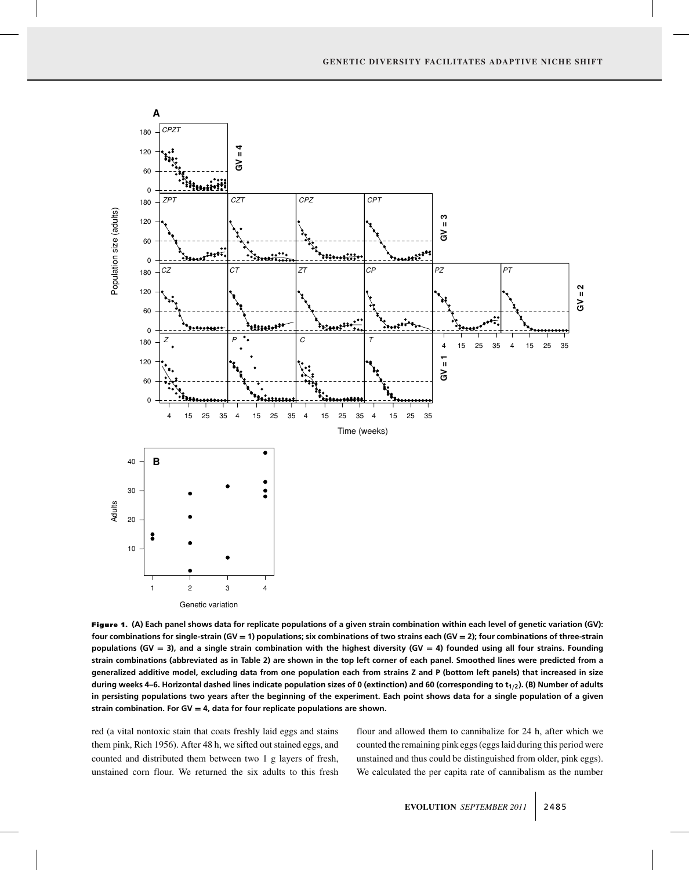

Figure 1. **(A) Each panel shows data for replicate populations of a given strain combination within each level of genetic variation (GV): four combinations for single-strain (GV = 1) populations; six combinations of two strains each (GV = 2); four combinations of three-strain populations (GV = 3), and a single strain combination with the highest diversity (GV = 4) founded using all four strains. Founding strain combinations (abbreviated as in Table 2) are shown in the top left corner of each panel. Smoothed lines were predicted from a generalized additive model, excluding data from one population each from strains Z and P (bottom left panels) that increased in size** during weeks 4–6. Horizontal dashed lines indicate population sizes of 0 (extinction) and 60 (corresponding to t<sub>1/2</sub>). (B) Number of adults **in persisting populations two years after the beginning of the experiment. Each point shows data for a single population of a given strain combination. For GV = 4, data for four replicate populations are shown.**

red (a vital nontoxic stain that coats freshly laid eggs and stains them pink, Rich 1956). After 48 h, we sifted out stained eggs, and counted and distributed them between two 1 g layers of fresh, unstained corn flour. We returned the six adults to this fresh flour and allowed them to cannibalize for 24 h, after which we counted the remaining pink eggs (eggs laid during this period were unstained and thus could be distinguished from older, pink eggs). We calculated the per capita rate of cannibalism as the number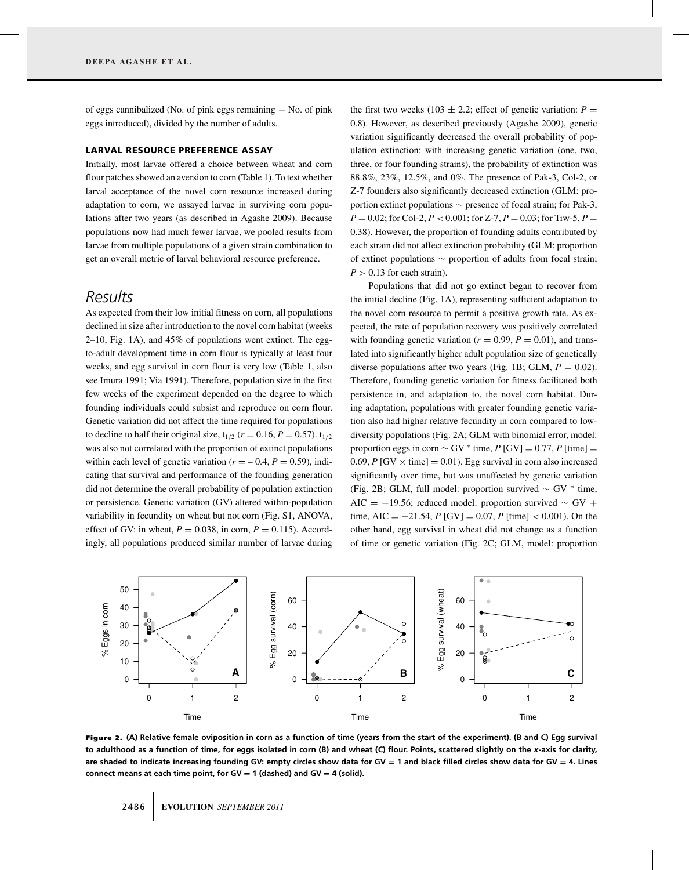of eggs cannibalized (No. of pink eggs remaining − No. of pink eggs introduced), divided by the number of adults.

#### LARVAL RESOURCE PREFERENCE ASSAY

Initially, most larvae offered a choice between wheat and corn flour patches showed an aversion to corn (Table 1). To test whether larval acceptance of the novel corn resource increased during adaptation to corn, we assayed larvae in surviving corn populations after two years (as described in Agashe 2009). Because populations now had much fewer larvae, we pooled results from larvae from multiple populations of a given strain combination to get an overall metric of larval behavioral resource preference.

# *Results*

As expected from their low initial fitness on corn, all populations declined in size after introduction to the novel corn habitat (weeks 2–10, Fig. 1A), and 45% of populations went extinct. The eggto-adult development time in corn flour is typically at least four weeks, and egg survival in corn flour is very low (Table 1, also see Imura 1991; Via 1991). Therefore, population size in the first few weeks of the experiment depended on the degree to which founding individuals could subsist and reproduce on corn flour. Genetic variation did not affect the time required for populations to decline to half their original size,  $t_{1/2}$  ( $r = 0.16$ ,  $P = 0.57$ ).  $t_{1/2}$ was also not correlated with the proportion of extinct populations within each level of genetic variation  $(r = -0.4, P = 0.59)$ , indicating that survival and performance of the founding generation did not determine the overall probability of population extinction or persistence. Genetic variation (GV) altered within-population variability in fecundity on wheat but not corn (Fig. S1, ANOVA, effect of GV: in wheat,  $P = 0.038$ , in corn,  $P = 0.115$ ). Accordingly, all populations produced similar number of larvae during the first two weeks (103  $\pm$  2.2; effect of genetic variation:  $P =$ 0.8). However, as described previously (Agashe 2009), genetic variation significantly decreased the overall probability of population extinction: with increasing genetic variation (one, two, three, or four founding strains), the probability of extinction was 88.8%, 23%, 12.5%, and 0%. The presence of Pak-3, Col-2, or Z-7 founders also significantly decreased extinction (GLM: proportion extinct populations ∼ presence of focal strain; for Pak-3, *P* = 0.02; for Col-2, *P* < 0.001; for Z-7, *P* = 0.03; for Tiw-5, *P* = 0.38). However, the proportion of founding adults contributed by each strain did not affect extinction probability (GLM: proportion of extinct populations ∼ proportion of adults from focal strain;  $P > 0.13$  for each strain).

Populations that did not go extinct began to recover from the initial decline (Fig. 1A), representing sufficient adaptation to the novel corn resource to permit a positive growth rate. As expected, the rate of population recovery was positively correlated with founding genetic variation ( $r = 0.99$ ,  $P = 0.01$ ), and translated into significantly higher adult population size of genetically diverse populations after two years (Fig. 1B; GLM,  $P = 0.02$ ). Therefore, founding genetic variation for fitness facilitated both persistence in, and adaptation to, the novel corn habitat. During adaptation, populations with greater founding genetic variation also had higher relative fecundity in corn compared to lowdiversity populations (Fig. 2A; GLM with binomial error, model: proportion eggs in corn  $\sim$  GV  $*$  time, *P* [GV] = 0.77, *P* [time] = 0.69, *P* [GV  $\times$  time] = 0.01). Egg survival in corn also increased significantly over time, but was unaffected by genetic variation (Fig. 2B; GLM, full model: proportion survived  $\sim$  GV  $*$  time, AIC = −19.56; reduced model: proportion survived  $\sim$  GV + time, AIC =  $-21.54$ , *P* [GV] = 0.07, *P* [time] < 0.001). On the other hand, egg survival in wheat did not change as a function of time or genetic variation (Fig. 2C; GLM, model: proportion



Figure 2. **(A) Relative female oviposition in corn as a function of time (years from the start of the experiment). (B and C) Egg survival to adulthood as a function of time, for eggs isolated in corn (B) and wheat (C) flour. Points, scattered slightly on the** *x***-axis for clarity, are shaded to indicate increasing founding GV: empty circles show data for GV = 1 and black filled circles show data for GV = 4. Lines connect means at each time point, for GV = 1 (dashed) and GV = 4 (solid).**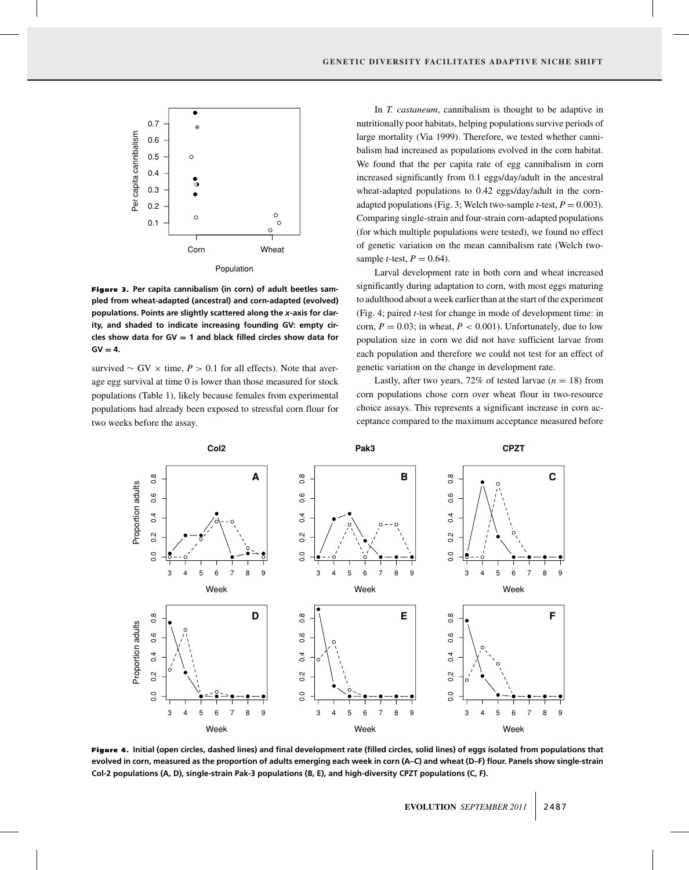

Figure 3. **Per capita cannibalism (in corn) of adult beetles sampled from wheat-adapted (ancestral) and corn-adapted (evolved) populations. Points are slightly scattered along the** *x***-axis for clarity, and shaded to indicate increasing founding GV: empty circles show data for GV = 1 and black filled circles show data for**  $GV = 4.$ 

survived  $\sim$  GV  $\times$  time, *P* > 0.1 for all effects). Note that average egg survival at time 0 is lower than those measured for stock populations (Table 1), likely because females from experimental populations had already been exposed to stressful corn flour for two weeks before the assay.

In *T. castaneum*, cannibalism is thought to be adaptive in nutritionally poor habitats, helping populations survive periods of large mortality (Via 1999). Therefore, we tested whether cannibalism had increased as populations evolved in the corn habitat. We found that the per capita rate of egg cannibalism in corn increased significantly from 0.1 eggs/day/adult in the ancestral wheat-adapted populations to 0.42 eggs/day/adult in the cornadapted populations (Fig. 3; Welch two-sample *t*-test,  $P = 0.003$ ). Comparing single-strain and four-strain corn-adapted populations (for which multiple populations were tested), we found no effect of genetic variation on the mean cannibalism rate (Welch twosample *t*-test,  $P = 0.64$ ).

Larval development rate in both corn and wheat increased significantly during adaptation to corn, with most eggs maturing to adulthood about a week earlier than at the start of the experiment (Fig. 4; paired *t*-test for change in mode of development time: in corn,  $P = 0.03$ ; in wheat,  $P < 0.001$ ). Unfortunately, due to low population size in corn we did not have sufficient larvae from each population and therefore we could not test for an effect of genetic variation on the change in development rate.

Lastly, after two years, 72% of tested larvae  $(n = 18)$  from corn populations chose corn over wheat flour in two-resource choice assays. This represents a significant increase in corn acceptance compared to the maximum acceptance measured before



Figure 4. **Initial (open circles, dashed lines) and final development rate (filled circles, solid lines) of eggs isolated from populations that evolved in corn, measured as the proportion of adults emerging each week in corn (A–C) and wheat (D–F) flour. Panels show single-strain Col-2 populations (A, D), single-strain Pak-3 populations (B, E), and high-diversity CPZT populations (C, F).**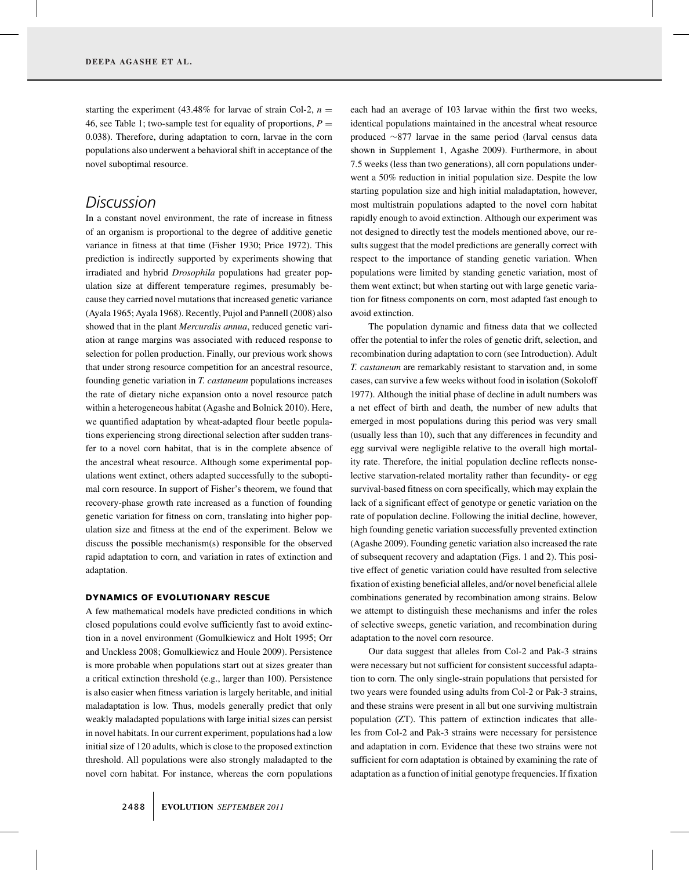starting the experiment (43.48% for larvae of strain Col-2,  $n =$ 46, see Table 1; two-sample test for equality of proportions,  $P =$ 0.038). Therefore, during adaptation to corn, larvae in the corn populations also underwent a behavioral shift in acceptance of the novel suboptimal resource.

# *Discussion*

In a constant novel environment, the rate of increase in fitness of an organism is proportional to the degree of additive genetic variance in fitness at that time (Fisher 1930; Price 1972). This prediction is indirectly supported by experiments showing that irradiated and hybrid *Drosophila* populations had greater population size at different temperature regimes, presumably because they carried novel mutations that increased genetic variance (Ayala 1965; Ayala 1968). Recently, Pujol and Pannell (2008) also showed that in the plant *Mercuralis annua*, reduced genetic variation at range margins was associated with reduced response to selection for pollen production. Finally, our previous work shows that under strong resource competition for an ancestral resource, founding genetic variation in *T. castaneum* populations increases the rate of dietary niche expansion onto a novel resource patch within a heterogeneous habitat (Agashe and Bolnick 2010). Here, we quantified adaptation by wheat-adapted flour beetle populations experiencing strong directional selection after sudden transfer to a novel corn habitat, that is in the complete absence of the ancestral wheat resource. Although some experimental populations went extinct, others adapted successfully to the suboptimal corn resource. In support of Fisher's theorem, we found that recovery-phase growth rate increased as a function of founding genetic variation for fitness on corn, translating into higher population size and fitness at the end of the experiment. Below we discuss the possible mechanism(s) responsible for the observed rapid adaptation to corn, and variation in rates of extinction and adaptation.

## DYNAMICS OF EVOLUTIONARY RESCUE

A few mathematical models have predicted conditions in which closed populations could evolve sufficiently fast to avoid extinction in a novel environment (Gomulkiewicz and Holt 1995; Orr and Unckless 2008; Gomulkiewicz and Houle 2009). Persistence is more probable when populations start out at sizes greater than a critical extinction threshold (e.g., larger than 100). Persistence is also easier when fitness variation is largely heritable, and initial maladaptation is low. Thus, models generally predict that only weakly maladapted populations with large initial sizes can persist in novel habitats. In our current experiment, populations had a low initial size of 120 adults, which is close to the proposed extinction threshold. All populations were also strongly maladapted to the novel corn habitat. For instance, whereas the corn populations each had an average of 103 larvae within the first two weeks, identical populations maintained in the ancestral wheat resource produced ∼877 larvae in the same period (larval census data shown in Supplement 1, Agashe 2009). Furthermore, in about 7.5 weeks (less than two generations), all corn populations underwent a 50% reduction in initial population size. Despite the low starting population size and high initial maladaptation, however, most multistrain populations adapted to the novel corn habitat rapidly enough to avoid extinction. Although our experiment was not designed to directly test the models mentioned above, our results suggest that the model predictions are generally correct with respect to the importance of standing genetic variation. When populations were limited by standing genetic variation, most of them went extinct; but when starting out with large genetic variation for fitness components on corn, most adapted fast enough to avoid extinction.

The population dynamic and fitness data that we collected offer the potential to infer the roles of genetic drift, selection, and recombination during adaptation to corn (see Introduction). Adult *T. castaneum* are remarkably resistant to starvation and, in some cases, can survive a few weeks without food in isolation (Sokoloff 1977). Although the initial phase of decline in adult numbers was a net effect of birth and death, the number of new adults that emerged in most populations during this period was very small (usually less than 10), such that any differences in fecundity and egg survival were negligible relative to the overall high mortality rate. Therefore, the initial population decline reflects nonselective starvation-related mortality rather than fecundity- or egg survival-based fitness on corn specifically, which may explain the lack of a significant effect of genotype or genetic variation on the rate of population decline. Following the initial decline, however, high founding genetic variation successfully prevented extinction (Agashe 2009). Founding genetic variation also increased the rate of subsequent recovery and adaptation (Figs. 1 and 2). This positive effect of genetic variation could have resulted from selective fixation of existing beneficial alleles, and/or novel beneficial allele combinations generated by recombination among strains. Below we attempt to distinguish these mechanisms and infer the roles of selective sweeps, genetic variation, and recombination during adaptation to the novel corn resource.

Our data suggest that alleles from Col-2 and Pak-3 strains were necessary but not sufficient for consistent successful adaptation to corn. The only single-strain populations that persisted for two years were founded using adults from Col-2 or Pak-3 strains, and these strains were present in all but one surviving multistrain population (ZT). This pattern of extinction indicates that alleles from Col-2 and Pak-3 strains were necessary for persistence and adaptation in corn. Evidence that these two strains were not sufficient for corn adaptation is obtained by examining the rate of adaptation as a function of initial genotype frequencies. If fixation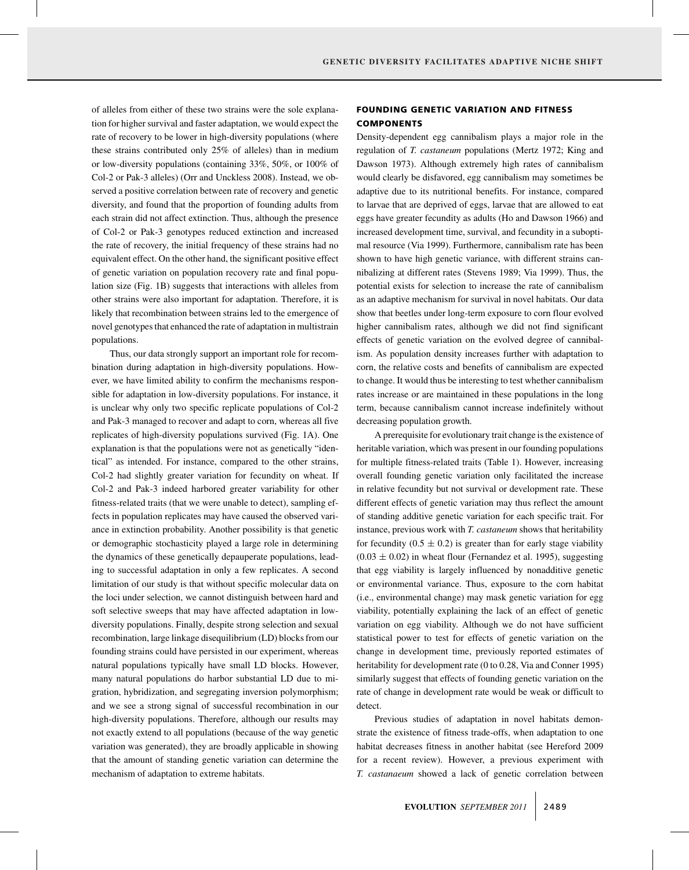of alleles from either of these two strains were the sole explanation for higher survival and faster adaptation, we would expect the rate of recovery to be lower in high-diversity populations (where these strains contributed only 25% of alleles) than in medium or low-diversity populations (containing 33%, 50%, or 100% of Col-2 or Pak-3 alleles) (Orr and Unckless 2008). Instead, we observed a positive correlation between rate of recovery and genetic diversity, and found that the proportion of founding adults from each strain did not affect extinction. Thus, although the presence of Col-2 or Pak-3 genotypes reduced extinction and increased the rate of recovery, the initial frequency of these strains had no equivalent effect. On the other hand, the significant positive effect of genetic variation on population recovery rate and final population size (Fig. 1B) suggests that interactions with alleles from other strains were also important for adaptation. Therefore, it is likely that recombination between strains led to the emergence of novel genotypes that enhanced the rate of adaptation in multistrain populations.

Thus, our data strongly support an important role for recombination during adaptation in high-diversity populations. However, we have limited ability to confirm the mechanisms responsible for adaptation in low-diversity populations. For instance, it is unclear why only two specific replicate populations of Col-2 and Pak-3 managed to recover and adapt to corn, whereas all five replicates of high-diversity populations survived (Fig. 1A). One explanation is that the populations were not as genetically "identical" as intended. For instance, compared to the other strains, Col-2 had slightly greater variation for fecundity on wheat. If Col-2 and Pak-3 indeed harbored greater variability for other fitness-related traits (that we were unable to detect), sampling effects in population replicates may have caused the observed variance in extinction probability. Another possibility is that genetic or demographic stochasticity played a large role in determining the dynamics of these genetically depauperate populations, leading to successful adaptation in only a few replicates. A second limitation of our study is that without specific molecular data on the loci under selection, we cannot distinguish between hard and soft selective sweeps that may have affected adaptation in lowdiversity populations. Finally, despite strong selection and sexual recombination, large linkage disequilibrium (LD) blocks from our founding strains could have persisted in our experiment, whereas natural populations typically have small LD blocks. However, many natural populations do harbor substantial LD due to migration, hybridization, and segregating inversion polymorphism; and we see a strong signal of successful recombination in our high-diversity populations. Therefore, although our results may not exactly extend to all populations (because of the way genetic variation was generated), they are broadly applicable in showing that the amount of standing genetic variation can determine the mechanism of adaptation to extreme habitats.

## FOUNDING GENETIC VARIATION AND FITNESS COMPONENTS

Density-dependent egg cannibalism plays a major role in the regulation of *T. castaneum* populations (Mertz 1972; King and Dawson 1973). Although extremely high rates of cannibalism would clearly be disfavored, egg cannibalism may sometimes be adaptive due to its nutritional benefits. For instance, compared to larvae that are deprived of eggs, larvae that are allowed to eat eggs have greater fecundity as adults (Ho and Dawson 1966) and increased development time, survival, and fecundity in a suboptimal resource (Via 1999). Furthermore, cannibalism rate has been shown to have high genetic variance, with different strains cannibalizing at different rates (Stevens 1989; Via 1999). Thus, the potential exists for selection to increase the rate of cannibalism as an adaptive mechanism for survival in novel habitats. Our data show that beetles under long-term exposure to corn flour evolved higher cannibalism rates, although we did not find significant effects of genetic variation on the evolved degree of cannibalism. As population density increases further with adaptation to corn, the relative costs and benefits of cannibalism are expected to change. It would thus be interesting to test whether cannibalism rates increase or are maintained in these populations in the long term, because cannibalism cannot increase indefinitely without decreasing population growth.

A prerequisite for evolutionary trait change is the existence of heritable variation, which was present in our founding populations for multiple fitness-related traits (Table 1). However, increasing overall founding genetic variation only facilitated the increase in relative fecundity but not survival or development rate. These different effects of genetic variation may thus reflect the amount of standing additive genetic variation for each specific trait. For instance, previous work with *T. castaneum* shows that heritability for fecundity  $(0.5 \pm 0.2)$  is greater than for early stage viability  $(0.03 \pm 0.02)$  in wheat flour (Fernandez et al. 1995), suggesting that egg viability is largely influenced by nonadditive genetic or environmental variance. Thus, exposure to the corn habitat (i.e., environmental change) may mask genetic variation for egg viability, potentially explaining the lack of an effect of genetic variation on egg viability. Although we do not have sufficient statistical power to test for effects of genetic variation on the change in development time, previously reported estimates of heritability for development rate (0 to 0.28, Via and Conner 1995) similarly suggest that effects of founding genetic variation on the rate of change in development rate would be weak or difficult to detect.

Previous studies of adaptation in novel habitats demonstrate the existence of fitness trade-offs, when adaptation to one habitat decreases fitness in another habitat (see Hereford 2009 for a recent review). However, a previous experiment with *T. castanaeum* showed a lack of genetic correlation between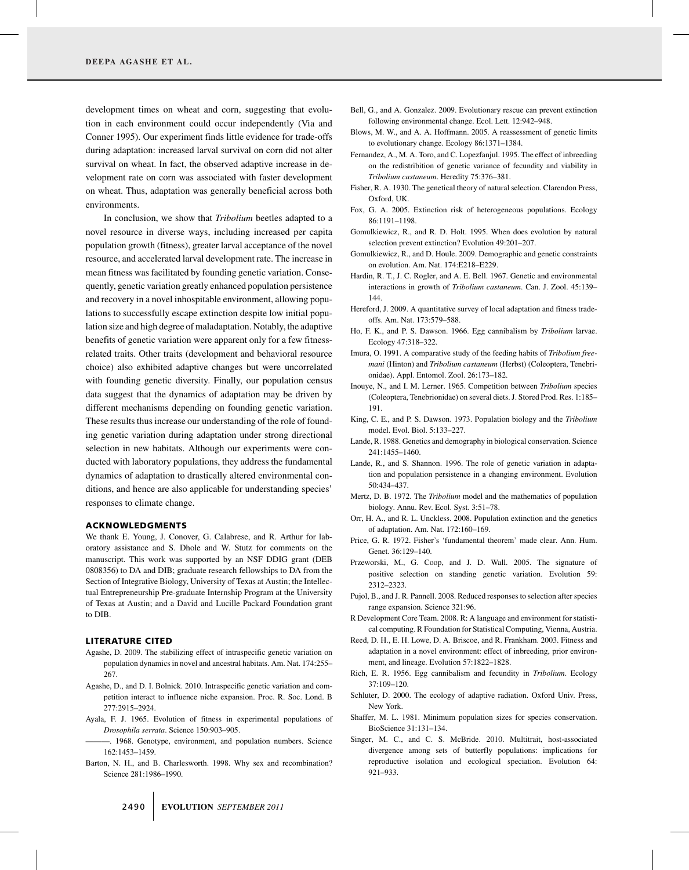development times on wheat and corn, suggesting that evolution in each environment could occur independently (Via and Conner 1995). Our experiment finds little evidence for trade-offs during adaptation: increased larval survival on corn did not alter survival on wheat. In fact, the observed adaptive increase in development rate on corn was associated with faster development on wheat. Thus, adaptation was generally beneficial across both environments.

In conclusion, we show that *Tribolium* beetles adapted to a novel resource in diverse ways, including increased per capita population growth (fitness), greater larval acceptance of the novel resource, and accelerated larval development rate. The increase in mean fitness was facilitated by founding genetic variation. Consequently, genetic variation greatly enhanced population persistence and recovery in a novel inhospitable environment, allowing populations to successfully escape extinction despite low initial population size and high degree of maladaptation. Notably, the adaptive benefits of genetic variation were apparent only for a few fitnessrelated traits. Other traits (development and behavioral resource choice) also exhibited adaptive changes but were uncorrelated with founding genetic diversity. Finally, our population census data suggest that the dynamics of adaptation may be driven by different mechanisms depending on founding genetic variation. These results thus increase our understanding of the role of founding genetic variation during adaptation under strong directional selection in new habitats. Although our experiments were conducted with laboratory populations, they address the fundamental dynamics of adaptation to drastically altered environmental conditions, and hence are also applicable for understanding species' responses to climate change.

#### ACKNOWLEDGMENTS

We thank E. Young, J. Conover, G. Calabrese, and R. Arthur for laboratory assistance and S. Dhole and W. Stutz for comments on the manuscript. This work was supported by an NSF DDIG grant (DEB 0808356) to DA and DIB; graduate research fellowships to DA from the Section of Integrative Biology, University of Texas at Austin; the Intellectual Entrepreneurship Pre-graduate Internship Program at the University of Texas at Austin; and a David and Lucille Packard Foundation grant to DIB.

#### LITERATURE CITED

- Agashe, D. 2009. The stabilizing effect of intraspecific genetic variation on population dynamics in novel and ancestral habitats. Am. Nat. 174:255– 267.
- Agashe, D., and D. I. Bolnick. 2010. Intraspecific genetic variation and competition interact to influence niche expansion. Proc. R. Soc. Lond. B 277:2915–2924.
- Ayala, F. J. 1965. Evolution of fitness in experimental populations of *Drosophila serrata*. Science 150:903–905.
- ———. 1968. Genotype, environment, and population numbers. Science 162:1453–1459.
- Barton, N. H., and B. Charlesworth. 1998. Why sex and recombination? Science 281:1986–1990.
- Bell, G., and A. Gonzalez. 2009. Evolutionary rescue can prevent extinction following environmental change. Ecol. Lett. 12:942–948.
- Blows, M. W., and A. A. Hoffmann. 2005. A reassessment of genetic limits to evolutionary change. Ecology 86:1371–1384.
- Fernandez, A., M. A. Toro, and C. Lopezfanjul. 1995. The effect of inbreeding on the redistribition of genetic variance of fecundity and viability in *Tribolium castaneum*. Heredity 75:376–381.
- Fisher, R. A. 1930. The genetical theory of natural selection. Clarendon Press, Oxford, UK.
- Fox, G. A. 2005. Extinction risk of heterogeneous populations. Ecology 86:1191–1198.
- Gomulkiewicz, R., and R. D. Holt. 1995. When does evolution by natural selection prevent extinction? Evolution 49:201–207.
- Gomulkiewicz, R., and D. Houle. 2009. Demographic and genetic constraints on evolution. Am. Nat. 174:E218–E229.
- Hardin, R. T., J. C. Rogler, and A. E. Bell. 1967. Genetic and environmental interactions in growth of *Tribolium castaneum*. Can. J. Zool. 45:139– 144.
- Hereford, J. 2009. A quantitative survey of local adaptation and fitness tradeoffs. Am. Nat. 173:579–588.
- Ho, F. K., and P. S. Dawson. 1966. Egg cannibalism by *Tribolium* larvae. Ecology 47:318–322.
- Imura, O. 1991. A comparative study of the feeding habits of *Tribolium freemani* (Hinton) and *Tribolium castaneum* (Herbst) (Coleoptera, Tenebrionidae). Appl. Entomol. Zool. 26:173–182.
- Inouye, N., and I. M. Lerner. 1965. Competition between *Tribolium* species (Coleoptera, Tenebrionidae) on several diets. J. Stored Prod. Res. 1:185– 191.
- King, C. E., and P. S. Dawson. 1973. Population biology and the *Tribolium* model. Evol. Biol. 5:133–227.
- Lande, R. 1988. Genetics and demography in biological conservation. Science 241:1455–1460.
- Lande, R., and S. Shannon. 1996. The role of genetic variation in adaptation and population persistence in a changing environment. Evolution 50:434–437.
- Mertz, D. B. 1972. The *Tribolium* model and the mathematics of population biology. Annu. Rev. Ecol. Syst. 3:51–78.
- Orr, H. A., and R. L. Unckless. 2008. Population extinction and the genetics of adaptation. Am. Nat. 172:160–169.
- Price, G. R. 1972. Fisher's 'fundamental theorem' made clear. Ann. Hum. Genet. 36:129–140.
- Przeworski, M., G. Coop, and J. D. Wall. 2005. The signature of positive selection on standing genetic variation. Evolution 59: 2312–2323.
- Pujol, B., and J. R. Pannell. 2008. Reduced responses to selection after species range expansion. Science 321:96.
- R Development Core Team. 2008. R: A language and environment for statistical computing. R Foundation for Statistical Computing, Vienna, Austria.
- Reed, D. H., E. H. Lowe, D. A. Briscoe, and R. Frankham. 2003. Fitness and adaptation in a novel environment: effect of inbreeding, prior environment, and lineage. Evolution 57:1822–1828.
- Rich, E. R. 1956. Egg cannibalism and fecundity in *Tribolium*. Ecology 37:109–120.
- Schluter, D. 2000. The ecology of adaptive radiation. Oxford Univ. Press, New York.
- Shaffer, M. L. 1981. Minimum population sizes for species conservation. BioScience 31:131–134.
- Singer, M. C., and C. S. McBride. 2010. Multitrait, host-associated divergence among sets of butterfly populations: implications for reproductive isolation and ecological speciation. Evolution 64: 921–933.